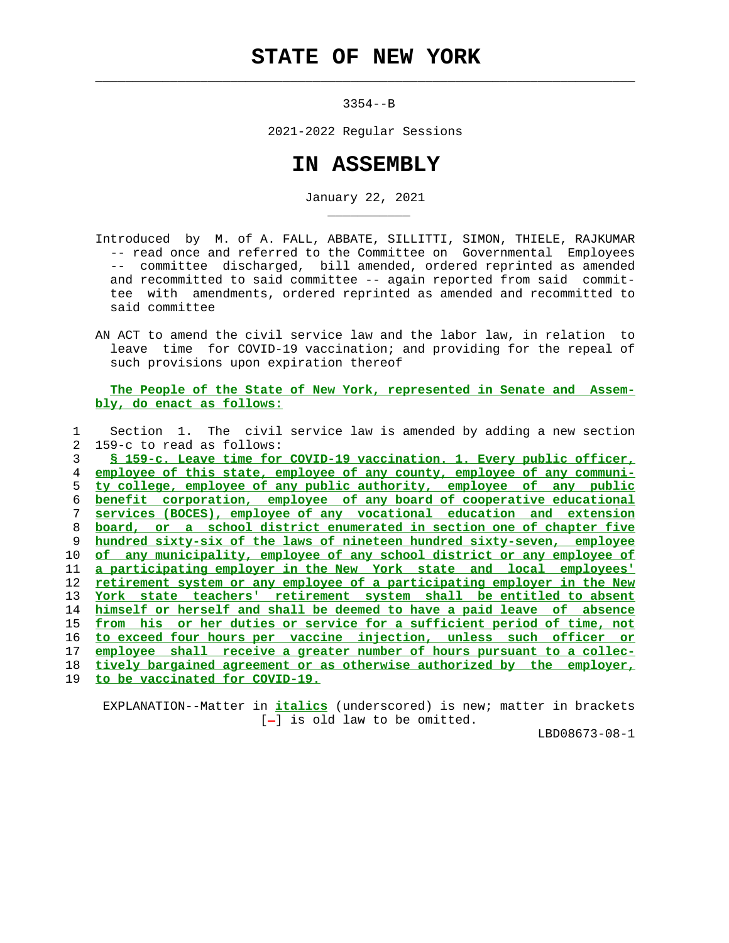## **STATE OF NEW YORK**

 $\mathcal{L}_\text{max} = \frac{1}{2} \sum_{i=1}^{n} \frac{1}{2} \sum_{i=1}^{n} \frac{1}{2} \sum_{i=1}^{n} \frac{1}{2} \sum_{i=1}^{n} \frac{1}{2} \sum_{i=1}^{n} \frac{1}{2} \sum_{i=1}^{n} \frac{1}{2} \sum_{i=1}^{n} \frac{1}{2} \sum_{i=1}^{n} \frac{1}{2} \sum_{i=1}^{n} \frac{1}{2} \sum_{i=1}^{n} \frac{1}{2} \sum_{i=1}^{n} \frac{1}{2} \sum_{i=1}^{n} \frac{1$ 

\_\_\_\_\_\_\_\_\_\_\_

3354--B

2021-2022 Regular Sessions

## **IN ASSEMBLY**

January 22, 2021

 Introduced by M. of A. FALL, ABBATE, SILLITTI, SIMON, THIELE, RAJKUMAR -- read once and referred to the Committee on Governmental Employees -- committee discharged, bill amended, ordered reprinted as amended and recommitted to said committee -- again reported from said commit tee with amendments, ordered reprinted as amended and recommitted to said committee

 AN ACT to amend the civil service law and the labor law, in relation to leave time for COVID-19 vaccination; and providing for the repeal of such provisions upon expiration thereof

 **The People of the State of New York, represented in Senate and Assem bly, do enact as follows:**

 1 Section 1. The civil service law is amended by adding a new section 2 159-c to read as follows: **§ 159-c. Leave time for COVID-19 vaccination. 1. Every public officer, employee of this state, employee of any county, employee of any communi- ty college, employee of any public authority, employee of any public benefit corporation, employee of any board of cooperative educational services (BOCES), employee of any vocational education and extension board, or a school district enumerated in section one of chapter five hundred sixty-six of the laws of nineteen hundred sixty-seven, employee of any municipality, employee of any school district or any employee of a participating employer in the New York state and local employees' retirement system or any employee of a participating employer in the New York state teachers' retirement system shall be entitled to absent himself or herself and shall be deemed to have a paid leave of absence from his or her duties or service for a sufficient period of time, not to exceed four hours per vaccine injection, unless such officer or employee shall receive a greater number of hours pursuant to a collec- tively bargained agreement or as otherwise authorized by the employer, to be vaccinated for COVID-19.**

 EXPLANATION--Matter in **italics** (underscored) is new; matter in brackets  $[-]$  is old law to be omitted.

LBD08673-08-1